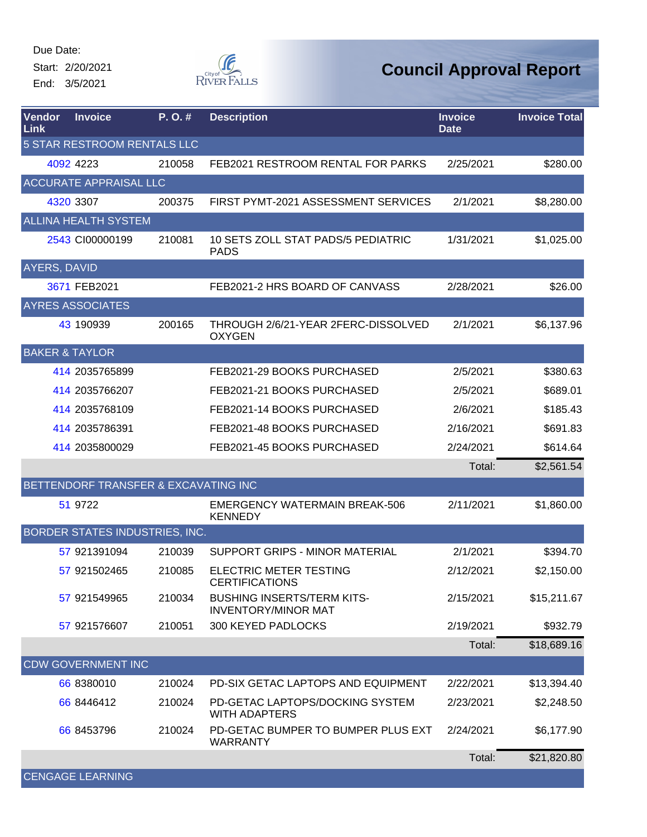Start: 2/20/2021 End: 3/5/2021



| Vendor<br>Link              | <b>Invoice</b>                        | P.O.#  | <b>Description</b>                                              | <b>Invoice</b><br><b>Date</b> | <b>Invoice Total</b> |  |
|-----------------------------|---------------------------------------|--------|-----------------------------------------------------------------|-------------------------------|----------------------|--|
| 5 STAR RESTROOM RENTALS LLC |                                       |        |                                                                 |                               |                      |  |
|                             | 4092 4223                             | 210058 | FEB2021 RESTROOM RENTAL FOR PARKS                               | 2/25/2021                     | \$280.00             |  |
|                             | <b>ACCURATE APPRAISAL LLC</b>         |        |                                                                 |                               |                      |  |
|                             | 4320 3307                             | 200375 | FIRST PYMT-2021 ASSESSMENT SERVICES                             | 2/1/2021                      | \$8,280.00           |  |
|                             | <b>ALLINA HEALTH SYSTEM</b>           |        |                                                                 |                               |                      |  |
|                             | 2543 CI00000199                       | 210081 | 10 SETS ZOLL STAT PADS/5 PEDIATRIC<br><b>PADS</b>               | 1/31/2021                     | \$1,025.00           |  |
| <b>AYERS, DAVID</b>         |                                       |        |                                                                 |                               |                      |  |
|                             | 3671 FEB2021                          |        | FEB2021-2 HRS BOARD OF CANVASS                                  | 2/28/2021                     | \$26.00              |  |
|                             | <b>AYRES ASSOCIATES</b>               |        |                                                                 |                               |                      |  |
|                             | 43 190939                             | 200165 | THROUGH 2/6/21-YEAR 2FERC-DISSOLVED<br><b>OXYGEN</b>            | 2/1/2021                      | \$6,137.96           |  |
|                             | <b>BAKER &amp; TAYLOR</b>             |        |                                                                 |                               |                      |  |
|                             | 414 2035765899                        |        | FEB2021-29 BOOKS PURCHASED                                      | 2/5/2021                      | \$380.63             |  |
|                             | 414 2035766207                        |        | FEB2021-21 BOOKS PURCHASED                                      | 2/5/2021                      | \$689.01             |  |
|                             | 414 2035768109                        |        | FEB2021-14 BOOKS PURCHASED                                      | 2/6/2021                      | \$185.43             |  |
|                             | 414 2035786391                        |        | FEB2021-48 BOOKS PURCHASED                                      | 2/16/2021                     | \$691.83             |  |
|                             | 414 2035800029                        |        | FEB2021-45 BOOKS PURCHASED                                      | 2/24/2021                     | \$614.64             |  |
|                             |                                       |        |                                                                 | Total:                        | \$2,561.54           |  |
|                             | BETTENDORF TRANSFER & EXCAVATING INC  |        |                                                                 |                               |                      |  |
|                             | 51 9722                               |        | <b>EMERGENCY WATERMAIN BREAK-506</b><br><b>KENNEDY</b>          | 2/11/2021                     | \$1,860.00           |  |
|                             | <b>BORDER STATES INDUSTRIES, INC.</b> |        |                                                                 |                               |                      |  |
|                             | 57 921391094                          | 210039 | SUPPORT GRIPS - MINOR MATERIAL                                  | 2/1/2021                      | \$394.70             |  |
|                             | 57 921502465                          | 210085 | <b>ELECTRIC METER TESTING</b><br><b>CERTIFICATIONS</b>          | 2/12/2021                     | \$2,150.00           |  |
|                             | 57 921549965                          | 210034 | <b>BUSHING INSERTS/TERM KITS-</b><br><b>INVENTORY/MINOR MAT</b> | 2/15/2021                     | \$15,211.67          |  |
|                             | 57 921576607                          | 210051 | 300 KEYED PADLOCKS                                              | 2/19/2021                     | \$932.79             |  |
|                             |                                       |        |                                                                 | Total:                        | \$18,689.16          |  |
|                             | <b>CDW GOVERNMENT INC</b>             |        |                                                                 |                               |                      |  |
|                             | 66 8380010                            | 210024 | PD-SIX GETAC LAPTOPS AND EQUIPMENT                              | 2/22/2021                     | \$13,394.40          |  |
|                             | 66 8446412                            | 210024 | PD-GETAC LAPTOPS/DOCKING SYSTEM<br><b>WITH ADAPTERS</b>         | 2/23/2021                     | \$2,248.50           |  |
|                             | 66 8453796                            | 210024 | PD-GETAC BUMPER TO BUMPER PLUS EXT<br><b>WARRANTY</b>           | 2/24/2021                     | \$6,177.90           |  |
|                             |                                       |        |                                                                 | Total:                        | \$21,820.80          |  |
|                             | <b>CENGAGE LEARNING</b>               |        |                                                                 |                               |                      |  |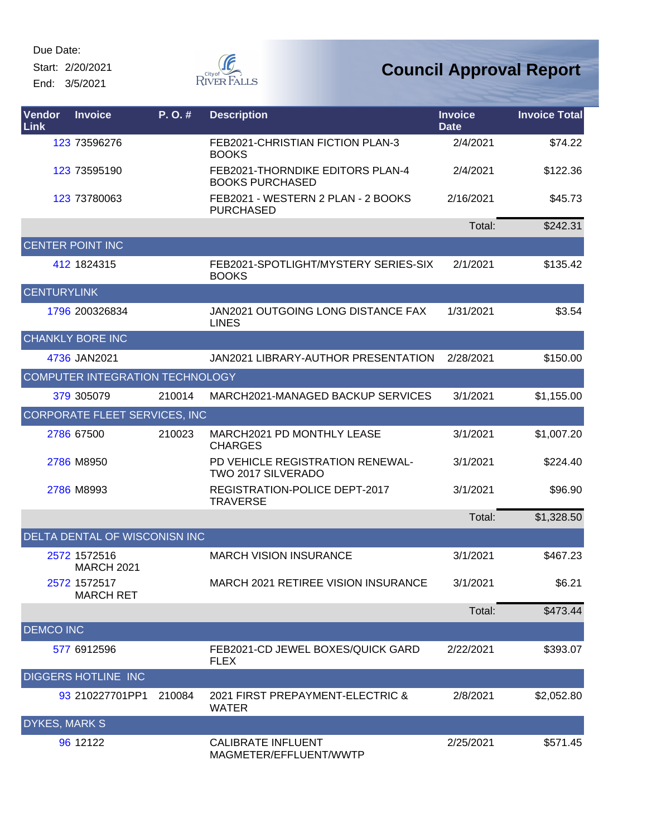Start: 2/20/2021 End: 3/5/2021



| Vendor<br>Link       | <b>Invoice</b>                    | P. O. # | <b>Description</b>                                         | <b>Invoice</b><br><b>Date</b> | <b>Invoice Total</b> |
|----------------------|-----------------------------------|---------|------------------------------------------------------------|-------------------------------|----------------------|
|                      | 123 73596276                      |         | FEB2021-CHRISTIAN FICTION PLAN-3<br><b>BOOKS</b>           | 2/4/2021                      | \$74.22              |
|                      | 123 73595190                      |         | FEB2021-THORNDIKE EDITORS PLAN-4<br><b>BOOKS PURCHASED</b> | 2/4/2021                      | \$122.36             |
|                      | 123 73780063                      |         | FEB2021 - WESTERN 2 PLAN - 2 BOOKS<br><b>PURCHASED</b>     | 2/16/2021                     | \$45.73              |
|                      |                                   |         |                                                            | Total:                        | \$242.31             |
|                      | <b>CENTER POINT INC</b>           |         |                                                            |                               |                      |
|                      | 412 1824315                       |         | FEB2021-SPOTLIGHT/MYSTERY SERIES-SIX<br><b>BOOKS</b>       | 2/1/2021                      | \$135.42             |
| <b>CENTURYLINK</b>   |                                   |         |                                                            |                               |                      |
|                      | 1796 200326834                    |         | JAN2021 OUTGOING LONG DISTANCE FAX<br><b>LINES</b>         | 1/31/2021                     | \$3.54               |
|                      | <b>CHANKLY BORE INC</b>           |         |                                                            |                               |                      |
|                      | 4736 JAN2021                      |         | JAN2021 LIBRARY-AUTHOR PRESENTATION                        | 2/28/2021                     | \$150.00             |
|                      | COMPUTER INTEGRATION TECHNOLOGY   |         |                                                            |                               |                      |
|                      | 379 305079                        | 210014  | MARCH2021-MANAGED BACKUP SERVICES                          | 3/1/2021                      | \$1,155.00           |
|                      | CORPORATE FLEET SERVICES, INC     |         |                                                            |                               |                      |
|                      | 2786 67500                        | 210023  | MARCH2021 PD MONTHLY LEASE<br><b>CHARGES</b>               | 3/1/2021                      | \$1,007.20           |
|                      | 2786 M8950                        |         | PD VEHICLE REGISTRATION RENEWAL-<br>TWO 2017 SILVERADO     | 3/1/2021                      | \$224.40             |
|                      | 2786 M8993                        |         | REGISTRATION-POLICE DEPT-2017<br><b>TRAVERSE</b>           | 3/1/2021                      | \$96.90              |
|                      |                                   |         |                                                            | Total:                        | \$1,328.50           |
|                      | DELTA DENTAL OF WISCONISN INC     |         |                                                            |                               |                      |
|                      | 2572 1572516<br><b>MARCH 2021</b> |         | <b>MARCH VISION INSURANCE</b>                              | 3/1/2021                      | \$467.23             |
|                      | 2572 1572517<br><b>MARCH RET</b>  |         | MARCH 2021 RETIREE VISION INSURANCE                        | 3/1/2021                      | \$6.21               |
|                      |                                   |         |                                                            | Total:                        | \$473.44             |
| <b>DEMCO INC</b>     |                                   |         |                                                            |                               |                      |
|                      | 577 6912596                       |         | FEB2021-CD JEWEL BOXES/QUICK GARD<br><b>FLEX</b>           | 2/22/2021                     | \$393.07             |
|                      | <b>DIGGERS HOTLINE INC</b>        |         |                                                            |                               |                      |
|                      | 93 210227701PP1                   | 210084  | 2021 FIRST PREPAYMENT-ELECTRIC &<br><b>WATER</b>           | 2/8/2021                      | \$2,052.80           |
| <b>DYKES, MARK S</b> |                                   |         |                                                            |                               |                      |
|                      | 96 12122                          |         | <b>CALIBRATE INFLUENT</b><br>MAGMETER/EFFLUENT/WWTP        | 2/25/2021                     | \$571.45             |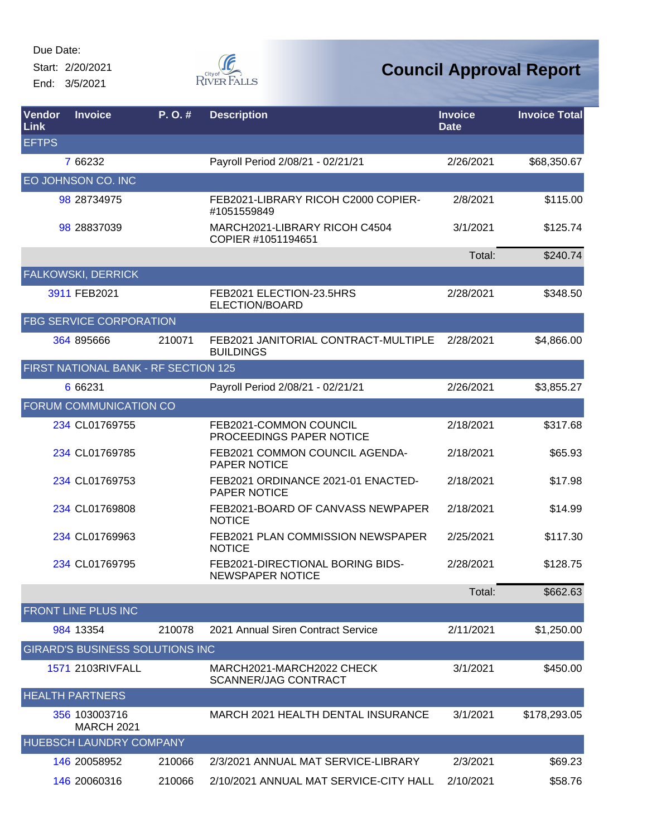Start: 2/20/2021 End: 3/5/2021



| Vendor<br>Link | <b>Invoice</b>                         | P. O. # | <b>Description</b>                                       | <b>Invoice</b><br><b>Date</b> | <b>Invoice Total</b> |
|----------------|----------------------------------------|---------|----------------------------------------------------------|-------------------------------|----------------------|
| <b>EFTPS</b>   |                                        |         |                                                          |                               |                      |
|                | 7 66232                                |         | Payroll Period 2/08/21 - 02/21/21                        | 2/26/2021                     | \$68,350.67          |
|                | EO JOHNSON CO. INC                     |         |                                                          |                               |                      |
|                | 98 28734975                            |         | FEB2021-LIBRARY RICOH C2000 COPIER-<br>#1051559849       | 2/8/2021                      | \$115.00             |
|                | 98 28837039                            |         | MARCH2021-LIBRARY RICOH C4504<br>COPIER #1051194651      | 3/1/2021                      | \$125.74             |
|                |                                        |         |                                                          | Total:                        | \$240.74             |
|                | FALKOWSKI, DERRICK                     |         |                                                          |                               |                      |
|                | 3911 FEB2021                           |         | FEB2021 ELECTION-23.5HRS<br>ELECTION/BOARD               | 2/28/2021                     | \$348.50             |
|                | <b>FBG SERVICE CORPORATION</b>         |         |                                                          |                               |                      |
|                | 364 895666                             | 210071  | FEB2021 JANITORIAL CONTRACT-MULTIPLE<br><b>BUILDINGS</b> | 2/28/2021                     | \$4,866.00           |
|                | FIRST NATIONAL BANK - RF SECTION 125   |         |                                                          |                               |                      |
|                | 6 66231                                |         | Payroll Period 2/08/21 - 02/21/21                        | 2/26/2021                     | \$3,855.27           |
|                | FORUM COMMUNICATION CO                 |         |                                                          |                               |                      |
|                | 234 CL01769755                         |         | FEB2021-COMMON COUNCIL<br>PROCEEDINGS PAPER NOTICE       | 2/18/2021                     | \$317.68             |
|                | 234 CL01769785                         |         | FEB2021 COMMON COUNCIL AGENDA-<br><b>PAPER NOTICE</b>    | 2/18/2021                     | \$65.93              |
|                | 234 CL01769753                         |         | FEB2021 ORDINANCE 2021-01 ENACTED-<br>PAPER NOTICE       | 2/18/2021                     | \$17.98              |
|                | 234 CL01769808                         |         | FEB2021-BOARD OF CANVASS NEWPAPER<br><b>NOTICE</b>       | 2/18/2021                     | \$14.99              |
|                | 234 CL01769963                         |         | FEB2021 PLAN COMMISSION NEWSPAPER<br><b>NOTICE</b>       | 2/25/2021                     | \$117.30             |
|                | 234 CL01769795                         |         | FEB2021-DIRECTIONAL BORING BIDS-<br>NEWSPAPER NOTICE     | 2/28/2021                     | \$128.75             |
|                |                                        |         |                                                          | Total:                        | \$662.63             |
|                | FRONT LINE PLUS INC                    |         |                                                          |                               |                      |
|                | 984 13354                              | 210078  | 2021 Annual Siren Contract Service                       | 2/11/2021                     | \$1,250.00           |
|                | <b>GIRARD'S BUSINESS SOLUTIONS INC</b> |         |                                                          |                               |                      |
|                | <b>1571 2103RIVFALL</b>                |         | MARCH2021-MARCH2022 CHECK<br><b>SCANNER/JAG CONTRACT</b> | 3/1/2021                      | \$450.00             |
|                | <b>HEALTH PARTNERS</b>                 |         |                                                          |                               |                      |
|                | 356 103003716<br><b>MARCH 2021</b>     |         | MARCH 2021 HEALTH DENTAL INSURANCE                       | 3/1/2021                      | \$178,293.05         |
|                | HUEBSCH LAUNDRY COMPANY                |         |                                                          |                               |                      |
|                | 146 20058952                           | 210066  | 2/3/2021 ANNUAL MAT SERVICE-LIBRARY                      | 2/3/2021                      | \$69.23              |
|                | 146 20060316                           | 210066  | 2/10/2021 ANNUAL MAT SERVICE-CITY HALL                   | 2/10/2021                     | \$58.76              |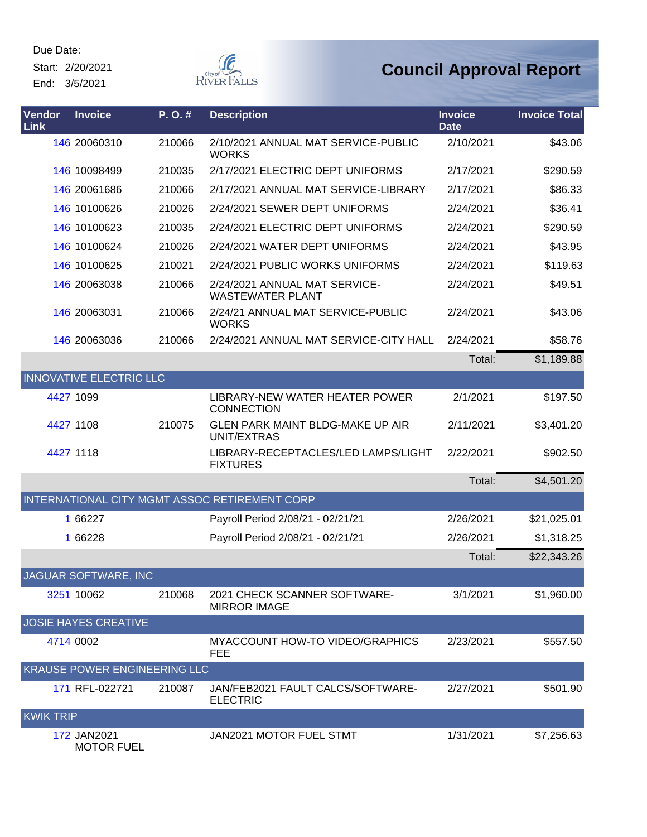Start: 2/20/2021 End: 3/5/2021



| Vendor<br><b>Link</b> | <b>Invoice</b>                   | P.O.#  | <b>Description</b>                                       | <b>Invoice</b><br><b>Date</b> | <b>Invoice Total</b> |
|-----------------------|----------------------------------|--------|----------------------------------------------------------|-------------------------------|----------------------|
|                       | 146 20060310                     | 210066 | 2/10/2021 ANNUAL MAT SERVICE-PUBLIC<br><b>WORKS</b>      | 2/10/2021                     | \$43.06              |
|                       | 146 10098499                     | 210035 | 2/17/2021 ELECTRIC DEPT UNIFORMS                         | 2/17/2021                     | \$290.59             |
|                       | 146 20061686                     | 210066 | 2/17/2021 ANNUAL MAT SERVICE-LIBRARY                     | 2/17/2021                     | \$86.33              |
|                       | 146 10100626                     | 210026 | 2/24/2021 SEWER DEPT UNIFORMS                            | 2/24/2021                     | \$36.41              |
|                       | 146 10100623                     | 210035 | 2/24/2021 ELECTRIC DEPT UNIFORMS                         | 2/24/2021                     | \$290.59             |
|                       | 146 10100624                     | 210026 | 2/24/2021 WATER DEPT UNIFORMS                            | 2/24/2021                     | \$43.95              |
|                       | 146 10100625                     | 210021 | 2/24/2021 PUBLIC WORKS UNIFORMS                          | 2/24/2021                     | \$119.63             |
|                       | 146 20063038                     | 210066 | 2/24/2021 ANNUAL MAT SERVICE-<br><b>WASTEWATER PLANT</b> | 2/24/2021                     | \$49.51              |
|                       | 146 20063031                     | 210066 | 2/24/21 ANNUAL MAT SERVICE-PUBLIC<br><b>WORKS</b>        | 2/24/2021                     | \$43.06              |
|                       | 146 20063036                     | 210066 | 2/24/2021 ANNUAL MAT SERVICE-CITY HALL                   | 2/24/2021                     | \$58.76              |
|                       |                                  |        |                                                          | Total:                        | \$1,189.88           |
|                       | <b>INNOVATIVE ELECTRIC LLC</b>   |        |                                                          |                               |                      |
|                       | 4427 1099                        |        | LIBRARY-NEW WATER HEATER POWER<br><b>CONNECTION</b>      | 2/1/2021                      | \$197.50             |
|                       | 4427 1108                        | 210075 | GLEN PARK MAINT BLDG-MAKE UP AIR<br>UNIT/EXTRAS          | 2/11/2021                     | \$3,401.20           |
|                       | 4427 1118                        |        | LIBRARY-RECEPTACLES/LED LAMPS/LIGHT<br><b>FIXTURES</b>   | 2/22/2021                     | \$902.50             |
|                       |                                  |        |                                                          | Total:                        | \$4,501.20           |
|                       |                                  |        | INTERNATIONAL CITY MGMT ASSOC RETIREMENT CORP            |                               |                      |
|                       | 1 66227                          |        | Payroll Period 2/08/21 - 02/21/21                        | 2/26/2021                     | \$21,025.01          |
|                       | 1 66228                          |        | Payroll Period 2/08/21 - 02/21/21                        | 2/26/2021                     | \$1,318.25           |
|                       |                                  |        |                                                          | Total:                        | \$22,343.26          |
|                       | JAGUAR SOFTWARE, INC             |        |                                                          |                               |                      |
|                       | 3251 10062                       | 210068 | 2021 CHECK SCANNER SOFTWARE-<br><b>MIRROR IMAGE</b>      | 3/1/2021                      | \$1,960.00           |
|                       | <b>JOSIE HAYES CREATIVE</b>      |        |                                                          |                               |                      |
|                       | 4714 0002                        |        | <b>MYACCOUNT HOW-TO VIDEO/GRAPHICS</b><br>FEE            | 2/23/2021                     | \$557.50             |
|                       | KRAUSE POWER ENGINEERING LLC     |        |                                                          |                               |                      |
|                       | 171 RFL-022721                   | 210087 | JAN/FEB2021 FAULT CALCS/SOFTWARE-<br><b>ELECTRIC</b>     | 2/27/2021                     | \$501.90             |
| <b>KWIK TRIP</b>      |                                  |        |                                                          |                               |                      |
|                       | 172 JAN2021<br><b>MOTOR FUEL</b> |        | JAN2021 MOTOR FUEL STMT                                  | 1/31/2021                     | \$7,256.63           |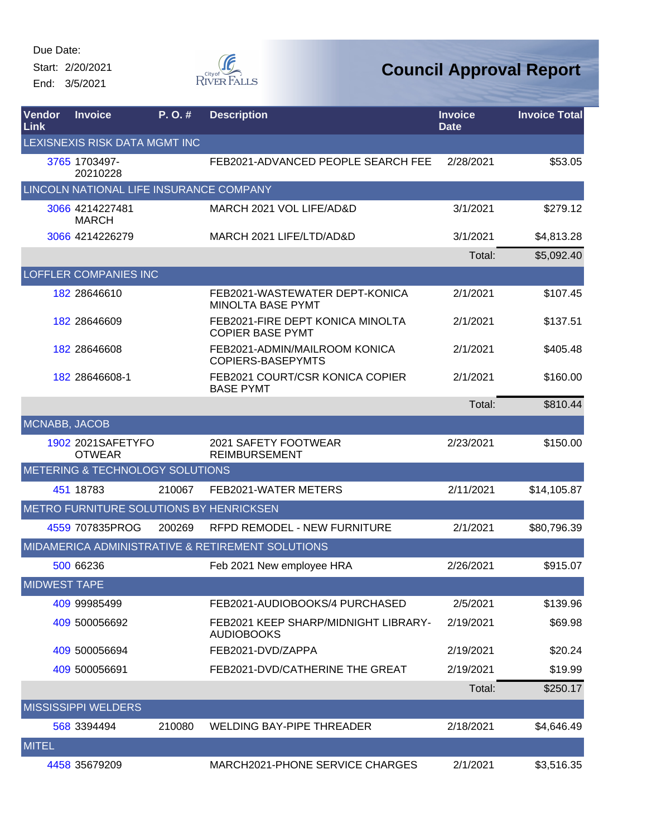Start: 2/20/2021 End: 3/5/2021



| Vendor<br>Link      | <b>Invoice</b>                          | P. O. # | <b>Description</b>                                          | <b>Invoice</b><br><b>Date</b> | <b>Invoice Total</b> |
|---------------------|-----------------------------------------|---------|-------------------------------------------------------------|-------------------------------|----------------------|
|                     | LEXISNEXIS RISK DATA MGMT INC           |         |                                                             |                               |                      |
|                     | 3765 1703497-<br>20210228               |         | FEB2021-ADVANCED PEOPLE SEARCH FEE                          | 2/28/2021                     | \$53.05              |
|                     | LINCOLN NATIONAL LIFE INSURANCE COMPANY |         |                                                             |                               |                      |
|                     | 3066 4214227481<br><b>MARCH</b>         |         | MARCH 2021 VOL LIFE/AD&D                                    | 3/1/2021                      | \$279.12             |
|                     | 3066 4214226279                         |         | MARCH 2021 LIFE/LTD/AD&D                                    | 3/1/2021                      | \$4,813.28           |
|                     |                                         |         |                                                             | Total:                        | \$5,092.40           |
|                     | <b>LOFFLER COMPANIES INC</b>            |         |                                                             |                               |                      |
|                     | 182 28646610                            |         | FEB2021-WASTEWATER DEPT-KONICA<br><b>MINOLTA BASE PYMT</b>  | 2/1/2021                      | \$107.45             |
|                     | 182 28646609                            |         | FEB2021-FIRE DEPT KONICA MINOLTA<br><b>COPIER BASE PYMT</b> | 2/1/2021                      | \$137.51             |
|                     | 182 28646608                            |         | FEB2021-ADMIN/MAILROOM KONICA<br><b>COPIERS-BASEPYMTS</b>   | 2/1/2021                      | \$405.48             |
|                     | 182 28646608-1                          |         | FEB2021 COURT/CSR KONICA COPIER<br><b>BASE PYMT</b>         | 2/1/2021                      | \$160.00             |
|                     |                                         |         |                                                             | Total:                        | \$810.44             |
| MCNABB, JACOB       |                                         |         |                                                             |                               |                      |
|                     | 1902 2021SAFETYFO<br><b>OTWEAR</b>      |         | 2021 SAFETY FOOTWEAR<br><b>REIMBURSEMENT</b>                | 2/23/2021                     | \$150.00             |
|                     | METERING & TECHNOLOGY SOLUTIONS         |         |                                                             |                               |                      |
|                     | 451 18783                               | 210067  | FEB2021-WATER METERS                                        | 2/11/2021                     | \$14,105.87          |
|                     | METRO FURNITURE SOLUTIONS BY HENRICKSEN |         |                                                             |                               |                      |
|                     | 4559 707835PROG                         | 200269  | <b>RFPD REMODEL - NEW FURNITURE</b>                         | 2/1/2021                      | \$80,796.39          |
|                     |                                         |         | MIDAMERICA ADMINISTRATIVE & RETIREMENT SOLUTIONS            |                               |                      |
|                     | 500 66236                               |         | Feb 2021 New employee HRA                                   | 2/26/2021                     | \$915.07             |
| <b>MIDWEST TAPE</b> |                                         |         |                                                             |                               |                      |
|                     | 409 99985499                            |         | FEB2021-AUDIOBOOKS/4 PURCHASED                              | 2/5/2021                      | \$139.96             |
|                     | 409 500056692                           |         | FEB2021 KEEP SHARP/MIDNIGHT LIBRARY-<br><b>AUDIOBOOKS</b>   | 2/19/2021                     | \$69.98              |
|                     | 409 500056694                           |         | FEB2021-DVD/ZAPPA                                           | 2/19/2021                     | \$20.24              |
|                     | 409 500056691                           |         | FEB2021-DVD/CATHERINE THE GREAT                             | 2/19/2021                     | \$19.99              |
|                     |                                         |         |                                                             | Total:                        | \$250.17             |
|                     | <b>MISSISSIPPI WELDERS</b>              |         |                                                             |                               |                      |
|                     | 568 3394494                             | 210080  | WELDING BAY-PIPE THREADER                                   | 2/18/2021                     | \$4,646.49           |
| <b>MITEL</b>        |                                         |         |                                                             |                               |                      |
|                     | 4458 35679209                           |         | MARCH2021-PHONE SERVICE CHARGES                             | 2/1/2021                      | \$3,516.35           |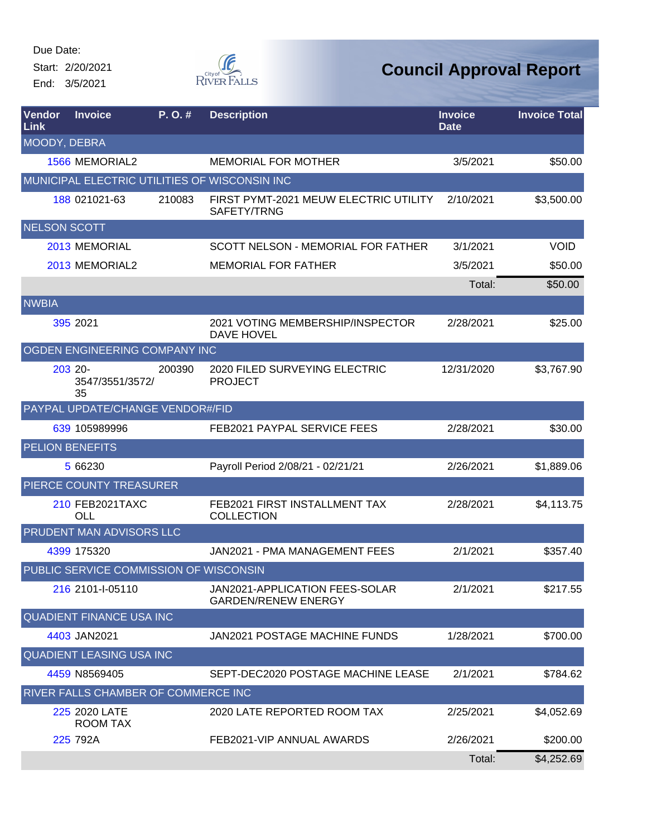Start: 2/20/2021 End: 3/5/2021



| Vendor<br>Link      | <b>Invoice</b>                         | P.O.#  | <b>Description</b>                                           | <b>Invoice</b><br><b>Date</b> | <b>Invoice Total</b> |
|---------------------|----------------------------------------|--------|--------------------------------------------------------------|-------------------------------|----------------------|
| MOODY, DEBRA        |                                        |        |                                                              |                               |                      |
|                     | 1566 MEMORIAL2                         |        | <b>MEMORIAL FOR MOTHER</b>                                   | 3/5/2021                      | \$50.00              |
|                     |                                        |        | MUNICIPAL ELECTRIC UTILITIES OF WISCONSIN INC                |                               |                      |
|                     | 188 021021-63                          | 210083 | FIRST PYMT-2021 MEUW ELECTRIC UTILITY<br>SAFETY/TRNG         | 2/10/2021                     | \$3,500.00           |
| <b>NELSON SCOTT</b> |                                        |        |                                                              |                               |                      |
|                     | 2013 MEMORIAL                          |        | SCOTT NELSON - MEMORIAL FOR FATHER                           | 3/1/2021                      | <b>VOID</b>          |
|                     | 2013 MEMORIAL2                         |        | <b>MEMORIAL FOR FATHER</b>                                   | 3/5/2021                      | \$50.00              |
|                     |                                        |        |                                                              | Total:                        | \$50.00              |
| <b>NWBIA</b>        |                                        |        |                                                              |                               |                      |
|                     | 395 2021                               |        | 2021 VOTING MEMBERSHIP/INSPECTOR<br><b>DAVE HOVEL</b>        | 2/28/2021                     | \$25.00              |
|                     | OGDEN ENGINEERING COMPANY INC          |        |                                                              |                               |                      |
|                     | 203 20-<br>3547/3551/3572/<br>35       | 200390 | 2020 FILED SURVEYING ELECTRIC<br><b>PROJECT</b>              | 12/31/2020                    | \$3,767.90           |
|                     | PAYPAL UPDATE/CHANGE VENDOR#/FID       |        |                                                              |                               |                      |
|                     | 639 105989996                          |        | FEB2021 PAYPAL SERVICE FEES                                  | 2/28/2021                     | \$30.00              |
|                     | <b>PELION BENEFITS</b>                 |        |                                                              |                               |                      |
|                     | 5 66230                                |        | Payroll Period 2/08/21 - 02/21/21                            | 2/26/2021                     | \$1,889.06           |
|                     | PIERCE COUNTY TREASURER                |        |                                                              |                               |                      |
|                     | 210 FEB2021TAXC<br>OLL                 |        | FEB2021 FIRST INSTALLMENT TAX<br><b>COLLECTION</b>           | 2/28/2021                     | \$4,113.75           |
|                     | PRUDENT MAN ADVISORS LLC               |        |                                                              |                               |                      |
|                     | 4399 175320                            |        | JAN2021 - PMA MANAGEMENT FEES                                | 2/1/2021                      | \$357.40             |
|                     | PUBLIC SERVICE COMMISSION OF WISCONSIN |        |                                                              |                               |                      |
|                     | 216 2101-I-05110                       |        | JAN2021-APPLICATION FEES-SOLAR<br><b>GARDEN/RENEW ENERGY</b> | 2/1/2021                      | \$217.55             |
|                     | <b>QUADIENT FINANCE USA INC</b>        |        |                                                              |                               |                      |
|                     | 4403 JAN2021                           |        | <b>JAN2021 POSTAGE MACHINE FUNDS</b>                         | 1/28/2021                     | \$700.00             |
|                     | <b>QUADIENT LEASING USA INC</b>        |        |                                                              |                               |                      |
|                     | 4459 N8569405                          |        | SEPT-DEC2020 POSTAGE MACHINE LEASE                           | 2/1/2021                      | \$784.62             |
|                     | RIVER FALLS CHAMBER OF COMMERCE INC    |        |                                                              |                               |                      |
|                     | 225 2020 LATE<br>ROOM TAX              |        | 2020 LATE REPORTED ROOM TAX                                  | 2/25/2021                     | \$4,052.69           |
|                     | 225 792A                               |        | FEB2021-VIP ANNUAL AWARDS                                    | 2/26/2021                     | \$200.00             |
|                     |                                        |        |                                                              | Total:                        | \$4,252.69           |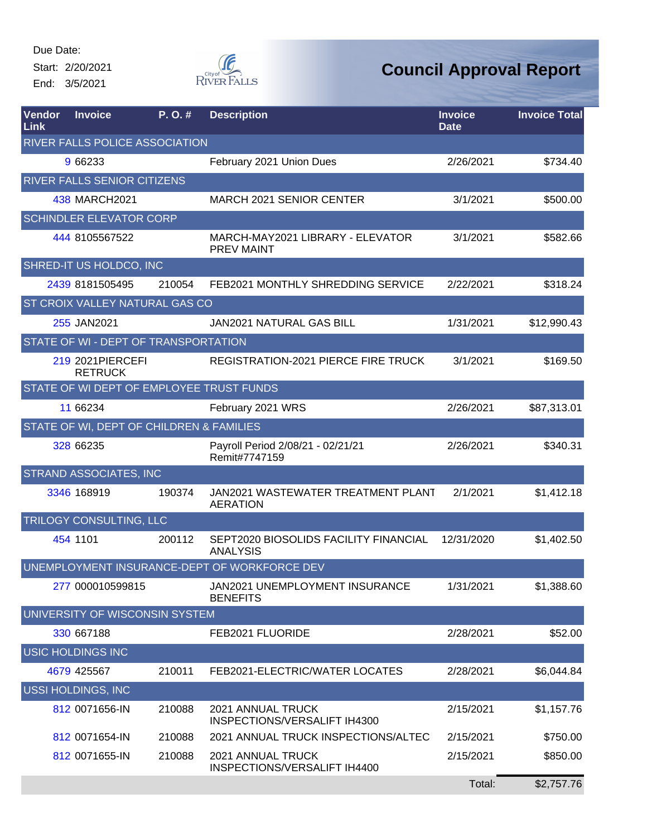Start: 2/20/2021 End: 3/5/2021



| Vendor<br>Link | <b>Invoice</b>                           | P.O.#  | <b>Description</b>                                       | <b>Invoice</b><br><b>Date</b> | <b>Invoice Total</b> |
|----------------|------------------------------------------|--------|----------------------------------------------------------|-------------------------------|----------------------|
|                | <b>RIVER FALLS POLICE ASSOCIATION</b>    |        |                                                          |                               |                      |
|                | 9 66233                                  |        | February 2021 Union Dues                                 | 2/26/2021                     | \$734.40             |
|                | <b>RIVER FALLS SENIOR CITIZENS</b>       |        |                                                          |                               |                      |
|                | 438 MARCH2021                            |        | MARCH 2021 SENIOR CENTER                                 | 3/1/2021                      | \$500.00             |
|                | <b>SCHINDLER ELEVATOR CORP</b>           |        |                                                          |                               |                      |
|                | 444 8105567522                           |        | MARCH-MAY2021 LIBRARY - ELEVATOR<br><b>PREV MAINT</b>    | 3/1/2021                      | \$582.66             |
|                | SHRED-IT US HOLDCO, INC                  |        |                                                          |                               |                      |
|                | 2439 8181505495                          | 210054 | FEB2021 MONTHLY SHREDDING SERVICE                        | 2/22/2021                     | \$318.24             |
|                | ST CROIX VALLEY NATURAL GAS CO           |        |                                                          |                               |                      |
|                | 255 JAN2021                              |        | <b>JAN2021 NATURAL GAS BILL</b>                          | 1/31/2021                     | \$12,990.43          |
|                | STATE OF WI - DEPT OF TRANSPORTATION     |        |                                                          |                               |                      |
|                | 219 2021 PIERCEFI<br><b>RETRUCK</b>      |        | REGISTRATION-2021 PIERCE FIRE TRUCK                      | 3/1/2021                      | \$169.50             |
|                | STATE OF WI DEPT OF EMPLOYEE TRUST FUNDS |        |                                                          |                               |                      |
|                | 11 66234                                 |        | February 2021 WRS                                        | 2/26/2021                     | \$87,313.01          |
|                | STATE OF WI, DEPT OF CHILDREN & FAMILIES |        |                                                          |                               |                      |
|                | 328 66235                                |        | Payroll Period 2/08/21 - 02/21/21<br>Remit#7747159       | 2/26/2021                     | \$340.31             |
|                | <b>STRAND ASSOCIATES, INC</b>            |        |                                                          |                               |                      |
|                | 3346 168919                              | 190374 | JAN2021 WASTEWATER TREATMENT PLANT<br><b>AERATION</b>    | 2/1/2021                      | \$1,412.18           |
|                | TRILOGY CONSULTING, LLC                  |        |                                                          |                               |                      |
|                | 454 1101                                 | 200112 | SEPT2020 BIOSOLIDS FACILITY FINANCIAL<br><b>ANALYSIS</b> | 12/31/2020                    | \$1,402.50           |
|                |                                          |        | UNEMPLOYMENT INSURANCE-DEPT OF WORKFORCE DEV             |                               |                      |
|                | 277 000010599815                         |        | JAN2021 UNEMPLOYMENT INSURANCE<br><b>BENEFITS</b>        | 1/31/2021                     | \$1,388.60           |
|                | UNIVERSITY OF WISCONSIN SYSTEM           |        |                                                          |                               |                      |
|                | 330 667188                               |        | FEB2021 FLUORIDE                                         | 2/28/2021                     | \$52.00              |
|                | <b>USIC HOLDINGS INC</b>                 |        |                                                          |                               |                      |
|                | 4679 425567                              | 210011 | FEB2021-ELECTRIC/WATER LOCATES                           | 2/28/2021                     | \$6,044.84           |
|                | <b>USSI HOLDINGS, INC</b>                |        |                                                          |                               |                      |
|                | 812 0071656-IN                           | 210088 | 2021 ANNUAL TRUCK<br>INSPECTIONS/VERSALIFT IH4300        | 2/15/2021                     | \$1,157.76           |
|                | 812 0071654-IN                           | 210088 | 2021 ANNUAL TRUCK INSPECTIONS/ALTEC                      | 2/15/2021                     | \$750.00             |
|                | 812 0071655-IN                           | 210088 | 2021 ANNUAL TRUCK<br>INSPECTIONS/VERSALIFT IH4400        | 2/15/2021                     | \$850.00             |
|                |                                          |        |                                                          | Total:                        | \$2,757.76           |